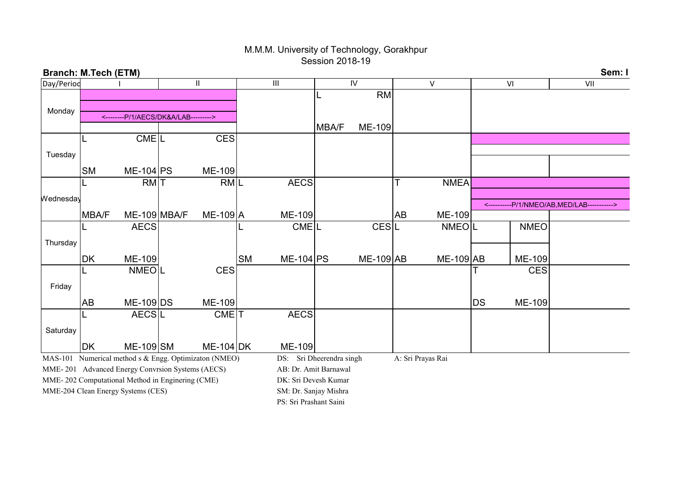## M.M.M. University of Technology, Gorakhpur Session 2018-19

| <b>Branch: M.Tech (ETM)</b>                           |              |                                      |  |                    |           |                       |                       |             |    |                   |    |               | Sem: I                                      |
|-------------------------------------------------------|--------------|--------------------------------------|--|--------------------|-----------|-----------------------|-----------------------|-------------|----|-------------------|----|---------------|---------------------------------------------|
| Day/Period                                            |              |                                      |  | Ш                  |           | III                   |                       | IV          |    | V                 |    | VI            | VII                                         |
|                                                       |              |                                      |  |                    |           |                       |                       | <b>RM</b>   |    |                   |    |               |                                             |
| Monday                                                |              |                                      |  |                    |           |                       |                       |             |    |                   |    |               |                                             |
|                                                       |              | <--------P/1/AECS/DK&A/LAB---------> |  |                    |           |                       |                       |             |    |                   |    |               |                                             |
|                                                       |              |                                      |  |                    |           |                       | <b>MBA/F</b>          | ME-109      |    |                   |    |               |                                             |
|                                                       |              | <b>CMEL</b>                          |  | <b>CES</b>         |           |                       |                       |             |    |                   |    |               |                                             |
| Tuesday                                               |              |                                      |  |                    |           |                       |                       |             |    |                   |    |               |                                             |
|                                                       |              |                                      |  |                    |           |                       |                       |             |    |                   |    |               |                                             |
|                                                       | <b>SM</b>    | $ME-104$ PS                          |  | ME-109             |           |                       |                       |             |    |                   |    |               |                                             |
|                                                       |              | RM <sub>T</sub>                      |  | RM <sub>L</sub>    |           | <b>AECS</b>           |                       |             |    | <b>NMEA</b>       |    |               |                                             |
| Wednesday                                             |              |                                      |  |                    |           |                       |                       |             |    |                   |    |               |                                             |
|                                                       |              |                                      |  |                    |           |                       |                       |             |    |                   |    |               | <----------P/1/NMEO/AB, MED/LAB-----------> |
|                                                       | <b>MBA/F</b> | ME-109 MBA/F                         |  | ME-109 A           |           | <b>ME-109</b>         |                       |             | AB | ME-109            |    |               |                                             |
|                                                       |              | <b>AECS</b>                          |  |                    |           | CME <sub>L</sub>      |                       | <b>CESL</b> |    | <b>NMEOL</b>      |    | <b>NMEO</b>   |                                             |
| Thursday                                              |              |                                      |  |                    |           |                       |                       |             |    |                   |    |               |                                             |
|                                                       | DK           | ME-109                               |  |                    | <b>SM</b> | $ME-104$ PS           |                       | ME-109 AB   |    | $ME-109$ AB       |    | <b>ME-109</b> |                                             |
|                                                       |              | <b>NMEOL</b>                         |  | <b>CES</b>         |           |                       |                       |             |    |                   |    | <b>CES</b>    |                                             |
|                                                       |              |                                      |  |                    |           |                       |                       |             |    |                   |    |               |                                             |
| Friday                                                |              |                                      |  |                    |           |                       |                       |             |    |                   |    |               |                                             |
|                                                       | <b>AB</b>    | $ME-109$ DS                          |  | ME-109             |           |                       |                       |             |    |                   | DS | ME-109        |                                             |
|                                                       |              | <b>AECSL</b>                         |  | $CME$ <sup>T</sup> |           | <b>AECS</b>           |                       |             |    |                   |    |               |                                             |
|                                                       |              |                                      |  |                    |           |                       |                       |             |    |                   |    |               |                                             |
| Saturday                                              |              |                                      |  |                    |           |                       |                       |             |    |                   |    |               |                                             |
|                                                       | <b>DK</b>    | ME-109 SM                            |  | $ME-104$ DK        |           | ME-109                |                       |             |    |                   |    |               |                                             |
| MAS-101 Numerical method s & Engg. Optimizaton (NMEO) |              |                                      |  |                    |           | DS:                   | Sri Dheerendra singh  |             |    | A: Sri Prayas Rai |    |               |                                             |
| MME-201 Advanced Energy Convrsion Systems (AECS)      |              |                                      |  |                    |           |                       | AB: Dr. Amit Barnawal |             |    |                   |    |               |                                             |
| MME-202 Computational Method in Enginering (CME)      |              |                                      |  |                    |           |                       | DK: Sri Devesh Kumar  |             |    |                   |    |               |                                             |
| MME-204 Clean Energy Systems (CES)                    |              |                                      |  |                    |           | SM: Dr. Sanjay Mishra |                       |             |    |                   |    |               |                                             |

PS: Sri Prashant Saini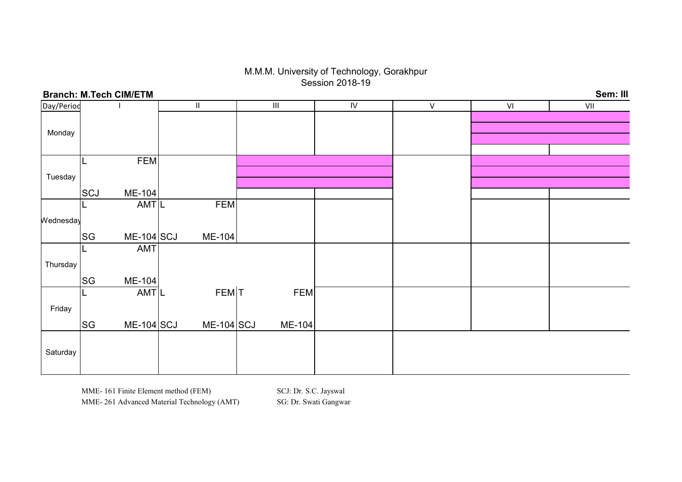## M.M.M. University of Technology, Gorakhpur Session 2018-19

| Sem: III<br><b>Branch: M.Tech CIM/ETM</b> |           |                            |  |              |  |                                    |            |           |    |     |
|-------------------------------------------|-----------|----------------------------|--|--------------|--|------------------------------------|------------|-----------|----|-----|
| Day/Period                                |           |                            |  | Ш.           |  | $\ensuremath{\mathsf{III}}\xspace$ | ${\sf IV}$ | ${\sf V}$ | VI | VII |
|                                           |           |                            |  |              |  |                                    |            |           |    |     |
| Monday                                    |           |                            |  |              |  |                                    |            |           |    |     |
|                                           |           |                            |  |              |  |                                    |            |           |    |     |
|                                           |           |                            |  |              |  |                                    |            |           |    |     |
|                                           |           | <b>FEM</b>                 |  |              |  |                                    |            |           |    |     |
| Tuesday                                   |           |                            |  |              |  |                                    |            |           |    |     |
|                                           | SCJ       |                            |  |              |  |                                    |            |           |    |     |
|                                           |           | ME-104<br>AMT <sub>L</sub> |  | <b>FEM</b>   |  |                                    |            |           |    |     |
|                                           |           |                            |  |              |  |                                    |            |           |    |     |
| Wednesday                                 |           |                            |  |              |  |                                    |            |           |    |     |
|                                           | SG        | $ME-104$ SCJ               |  | ME-104       |  |                                    |            |           |    |     |
|                                           |           | <b>AMT</b>                 |  |              |  |                                    |            |           |    |     |
| Thursday                                  |           |                            |  |              |  |                                    |            |           |    |     |
|                                           |           |                            |  |              |  |                                    |            |           |    |     |
|                                           | <b>SG</b> | ME-104                     |  |              |  |                                    |            |           |    |     |
|                                           |           | AMTL                       |  | FEM T        |  | <b>FEM</b>                         |            |           |    |     |
| Friday                                    |           |                            |  |              |  |                                    |            |           |    |     |
|                                           |           |                            |  |              |  |                                    |            |           |    |     |
|                                           | <b>SG</b> | $ME-104$ SCJ               |  | $ME-104$ SCJ |  | ME-104                             |            |           |    |     |
|                                           |           |                            |  |              |  |                                    |            |           |    |     |
| Saturday                                  |           |                            |  |              |  |                                    |            |           |    |     |
|                                           |           |                            |  |              |  |                                    |            |           |    |     |
|                                           |           |                            |  |              |  |                                    |            |           |    |     |

## Branch: M.Tech CIM/ETM

MME- 161 Finite Element method (FEM) SCJ: Dr. S.C. Jayswal MME- 261 Advanced Material Technology (AMT) SG: Dr. Swati Gangwar